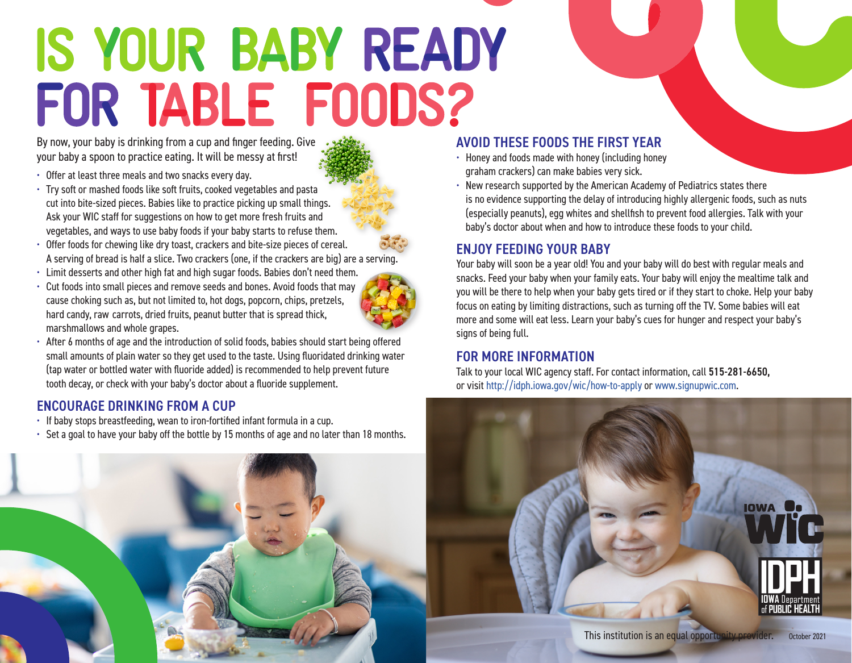# IS YOUR BABY READY FOR TABLE FOODS?

By now, your baby is drinking from a cup and finger feeding. Give your baby a spoon to practice eating. It will be messy at first!

- Offer at least three meals and two snacks every day.
- Try soft or mashed foods like soft fruits, cooked vegetables and pasta cut into bite-sized pieces. Babies like to practice picking up small things. Ask your WIC staff for suggestions on how to get more fresh fruits and vegetables, and ways to use baby foods if your baby starts to refuse them.
- Offer foods for chewing like dry toast, crackers and bite-size pieces of cereal. A serving of bread is half a slice. Two crackers (one, if the crackers are big) are a serving.
- Limit desserts and other high fat and high sugar foods. Babies don't need them.
- Cut foods into small pieces and remove seeds and bones. Avoid foods that may cause choking such as, but not limited to, hot dogs, popcorn, chips, pretzels, hard candy, raw carrots, dried fruits, peanut butter that is spread thick, marshmallows and whole grapes.



• After 6 months of age and the introduction of solid foods, babies should start being offered small amounts of plain water so they get used to the taste. Using fluoridated drinking water (tap water or bottled water with fluoride added) is recommended to help prevent future tooth decay, or check with your baby's doctor about a fluoride supplement.

## ENCOURAGE DRINKING FROM A CUP

- If baby stops breastfeeding, wean to iron-fortified infant formula in a cup.
- Set a goal to have your baby off the bottle by 15 months of age and no later than 18 months.



## AVOID THESE FOODS THE FIRST YEAR

- Honey and foods made with honey (including honey graham crackers) can make babies very sick.
- New research supported by the American Academy of Pediatrics states there is no evidence supporting the delay of introducing highly allergenic foods, such as nuts (especially peanuts), egg whites and shellfish to prevent food allergies. Talk with your baby's doctor about when and how to introduce these foods to your child.

## ENJOY FEEDING YOUR BABY

Your baby will soon be a year old! You and your baby will do best with regular meals and snacks. Feed your baby when your family eats. Your baby will enjoy the mealtime talk and you will be there to help when your baby gets tired or if they start to choke. Help your baby focus on eating by limiting distractions, such as turning off the TV. Some babies will eat more and some will eat less. Learn your baby's cues for hunger and respect your baby's signs of being full.

### FOR MORE INFORMATION

Talk to your local WIC agency staff. For contact information, call 515-281-6650, or visit<http://idph.iowa.gov/wic/how-to-apply> or [www.signupwic.com.](www.signupwic.com)